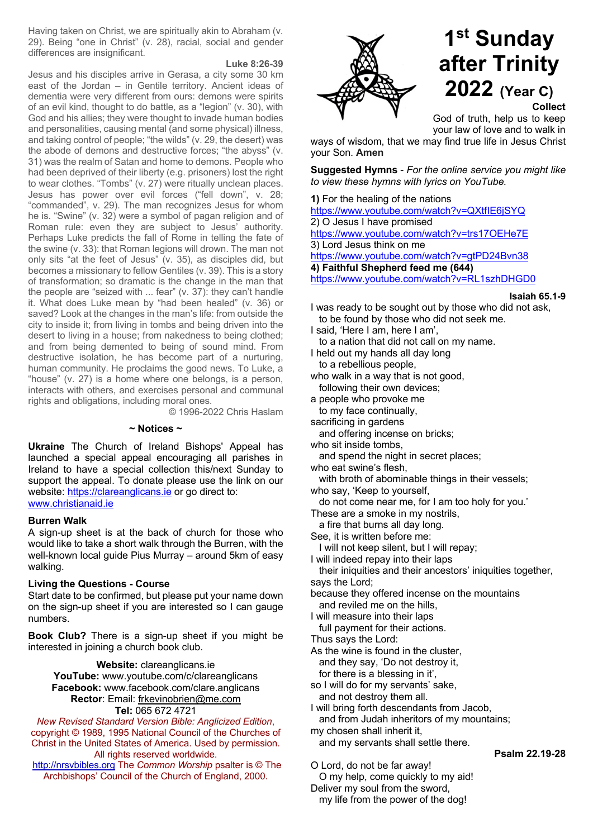Having taken on Christ, we are spiritually akin to Abraham (v. 29). Being "one in Christ" (v. 28), racial, social and gender differences are insignificant.

**Luke 8:26-39**

Jesus and his disciples arrive in Gerasa, a city some 30 km east of the Jordan – in Gentile territory. Ancient ideas of dementia were very different from ours: demons were spirits of an evil kind, thought to do battle, as a "legion" (v. 30), with God and his allies; they were thought to invade human bodies and personalities, causing mental (and some physical) illness, and taking control of people; "the wilds" (v. 29, the desert) was the abode of demons and destructive forces; "the abyss" (v. 31) was the realm of Satan and home to demons. People who had been deprived of their liberty (e.g. prisoners) lost the right to wear clothes. "Tombs" (v. 27) were ritually unclean places. Jesus has power over evil forces ("fell down", v. 28; "commanded", v. 29). The man recognizes Jesus for whom he is. "Swine" (v. 32) were a symbol of pagan religion and of Roman rule: even they are subject to Jesus' authority. Perhaps Luke predicts the fall of Rome in telling the fate of the swine (v. 33): that Roman legions will drown. The man not only sits "at the feet of Jesus" (v. 35), as disciples did, but becomes a missionary to fellow Gentiles (v. 39). This is a story of transformation; so dramatic is the change in the man that the people are "seized with ... fear" (v. 37): they can't handle it. What does Luke mean by "had been healed" (v. 36) or saved? Look at the changes in the man's life: from outside the city to inside it; from living in tombs and being driven into the desert to living in a house; from nakedness to being clothed; and from being demented to being of sound mind. From destructive isolation, he has become part of a nurturing, human community. He proclaims the good news. To Luke, a "house" (v. 27) is a home where one belongs, is a person, interacts with others, and exercises personal and communal rights and obligations, including moral ones.

© 1996-2022 Chris Haslam

### **~ Notices ~**

**Ukraine** The Church of Ireland Bishops' Appeal has launched a special appeal encouraging all parishes in Ireland to have a special collection this/next Sunday to support the appeal. To donate please use the link on our website: https://clareanglicans.ie or go direct to: www.christianaid.ie

#### **Burren Walk**

A sign-up sheet is at the back of church for those who would like to take a short walk through the Burren, with the well-known local guide Pius Murray – around 5km of easy walking.

### **Living the Questions - Course**

Start date to be confirmed, but please put your name down on the sign-up sheet if you are interested so I can gauge numbers.

**Book Club?** There is a sign-up sheet if you might be interested in joining a church book club.

**Website:** clareanglicans.ie **YouTube:** www.youtube.com/c/clareanglicans **Facebook:** www.facebook.com/clare.anglicans **Rector**: Email: frkevinobrien@me.com

#### **Tel:** 065 672 4721

*New Revised Standard Version Bible: Anglicized Edition*, copyright © 1989, 1995 National Council of the Churches of Christ in the United States of America. Used by permission. All rights reserved worldwide.

http://nrsvbibles.org The *Common Worship* psalter is © The Archbishops' Council of the Church of England, 2000.



# **1st Sunday after Trinity 2022 (Year C)**

**Collect**

God of truth, help us to keep your law of love and to walk in

ways of wisdom, that we may find true life in Jesus Christ your Son. **Amen**

**Suggested Hymns** - *For the online service you might like to view these hymns with lyrics on YouTube.*

**1)** For the healing of the nations https://www.youtube.com/watch?v=QXtfIE6jSYQ 2) O Jesus I have promised https://www.youtube.com/watch?v=trs17OEHe7E 3) Lord Jesus think on me https://www.youtube.com/watch?v=gtPD24Bvn38 **4) Faithful Shepherd feed me (644)** https://www.youtube.com/watch?v=RL1szhDHGD0

#### **Isaiah 65.1-9**

**Psalm 22.19-28**

I was ready to be sought out by those who did not ask, to be found by those who did not seek me. I said, 'Here I am, here I am', to a nation that did not call on my name.

I held out my hands all day long to a rebellious people,

who walk in a way that is not good, following their own devices;

a people who provoke me

to my face continually,

sacrificing in gardens

 and offering incense on bricks; who sit inside tombs,

and spend the night in secret places;

who eat swine's flesh,

 with broth of abominable things in their vessels; who say, 'Keep to yourself,

do not come near me, for I am too holy for you.'

These are a smoke in my nostrils,

a fire that burns all day long.

See, it is written before me:

I will not keep silent, but I will repay;

I will indeed repay into their laps

 their iniquities and their ancestors' iniquities together, says the Lord;

because they offered incense on the mountains and reviled me on the hills,

I will measure into their laps full payment for their actions.

Thus says the Lord:

As the wine is found in the cluster, and they say, 'Do not destroy it, for there is a blessing in it',

so I will do for my servants' sake, and not destroy them all.

I will bring forth descendants from Jacob,

 and from Judah inheritors of my mountains; my chosen shall inherit it,

and my servants shall settle there.

O Lord, do not be far away!

O my help, come quickly to my aid!

Deliver my soul from the sword,

my life from the power of the dog!